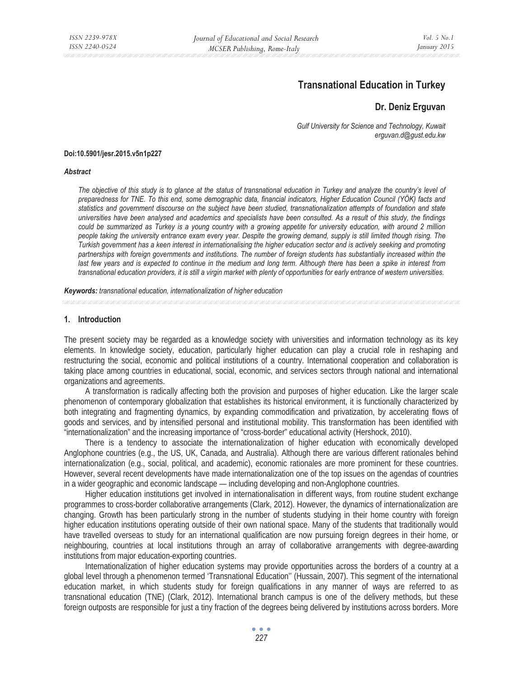# **Transnational Education in Turkey**

# **Dr. Deniz Erguvan**

*Gulf University for Science and Technology, Kuwait erguvan.d@gust.edu.kw* 

#### **Doi:10.5901/jesr.2015.v5n1p227**

#### *Abstract*

*The objective of this study is to glance at the status of transnational education in Turkey and analyze the country's level of preparedness for TNE. To this end, some demographic data, financial indicators, Higher Education Council (YÖK) facts and statistics and government discourse on the subject have been studied, transnationalization attempts of foundation and state universities have been analysed and academics and specialists have been consulted. As a result of this study, the findings could be summarized as Turkey is a young country with a growing appetite for university education, with around 2 million people taking the university entrance exam every year. Despite the growing demand, supply is still limited though rising. The Turkish government has a keen interest in internationalising the higher education sector and is actively seeking and promoting partnerships with foreign governments and institutions. The number of foreign students has substantially increased within the*  last few years and is expected to continue in the medium and long term. Although there has been a spike in interest from *transnational education providers, it is still a virgin market with plenty of opportunities for early entrance of western universities.* 

*Keywords: transnational education, internationalization of higher education* 

# **1. Introduction**

The present society may be regarded as a knowledge society with universities and information technology as its key elements. In knowledge society, education, particularly higher education can play a crucial role in reshaping and restructuring the social, economic and political institutions of a country. International cooperation and collaboration is taking place among countries in educational, social, economic, and services sectors through national and international organizations and agreements.

A transformation is radically affecting both the provision and purposes of higher education. Like the larger scale phenomenon of contemporary globalization that establishes its historical environment, it is functionally characterized by both integrating and fragmenting dynamics, by expanding commodification and privatization, by accelerating flows of goods and services, and by intensified personal and institutional mobility. This transformation has been identified with "internationalization" and the increasing importance of "cross-border" educational activity (Hershock, 2010).

There is a tendency to associate the internationalization of higher education with economically developed Anglophone countries (e.g., the US, UK, Canada, and Australia). Although there are various different rationales behind internationalization (e.g., social, political, and academic), economic rationales are more prominent for these countries. However, several recent developments have made internationalization one of the top issues on the agendas of countries in a wider geographic and economic landscape — including developing and non-Anglophone countries.

Higher education institutions get involved in internationalisation in different ways, from routine student exchange programmes to cross-border collaborative arrangements (Clark, 2012). However, the dynamics of internationalization are changing. Growth has been particularly strong in the number of students studying in their home country with foreign higher education institutions operating outside of their own national space. Many of the students that traditionally would have travelled overseas to study for an international qualification are now pursuing foreign degrees in their home, or neighbouring, countries at local institutions through an array of collaborative arrangements with degree-awarding institutions from major education-exporting countries.

Internationalization of higher education systems may provide opportunities across the borders of a country at a global level through a phenomenon termed 'Transnational Education'' (Hussain, 2007). This segment of the international education market, in which students study for foreign qualifications in any manner of ways are referred to as transnational education (TNE) (Clark, 2012). International branch campus is one of the delivery methods, but these foreign outposts are responsible for just a tiny fraction of the degrees being delivered by institutions across borders. More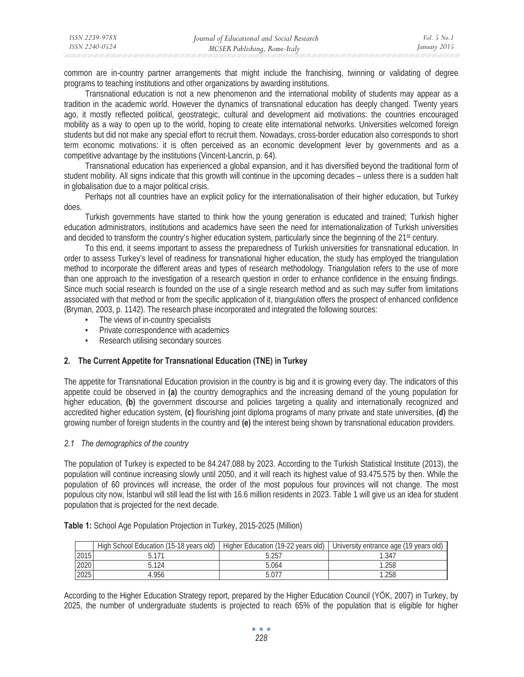| ISSN 2239-978X | Journal of Educational and Social Research | <i>Vol.</i> 5 $No.1$ |
|----------------|--------------------------------------------|----------------------|
| ISSN 2240-0524 | MCSER Publishing, Rome-Italy               | January 2015         |

common are in-country partner arrangements that might include the franchising, twinning or validating of degree programs to teaching institutions and other organizations by awarding institutions.

Transnational education is not a new phenomenon and the international mobility of students may appear as a tradition in the academic world. However the dynamics of transnational education has deeply changed. Twenty years ago, it mostly reflected political, geostrategic, cultural and development aid motivations: the countries encouraged mobility as a way to open up to the world, hoping to create elite international networks. Universities welcomed foreign students but did not make any special effort to recruit them. Nowadays, cross-border education also corresponds to short term economic motivations: it is often perceived as an economic development lever by governments and as a competitive advantage by the institutions (Vincent-Lancrin, p. 64).

Transnational education has experienced a global expansion, and it has diversified beyond the traditional form of student mobility. All signs indicate that this growth will continue in the upcoming decades – unless there is a sudden halt in globalisation due to a major political crisis.

Perhaps not all countries have an explicit policy for the internationalisation of their higher education, but Turkey does.

Turkish governments have started to think how the young generation is educated and trained; Turkish higher education administrators, institutions and academics have seen the need for internationalization of Turkish universities and decided to transform the country's higher education system, particularly since the beginning of the 21st century.

To this end, it seems important to assess the preparedness of Turkish universities for transnational education. In order to assess Turkey's level of readiness for transnational higher education, the study has employed the triangulation method to incorporate the different areas and types of research methodology. Triangulation refers to the use of more than one approach to the investigation of a research question in order to enhance confidence in the ensuing findings. Since much social research is founded on the use of a single research method and as such may suffer from limitations associated with that method or from the specific application of it, triangulation offers the prospect of enhanced confidence (Bryman, 2003, p. 1142). The research phase incorporated and integrated the following sources:

- The views of in-country specialists
- Private correspondence with academics
- Research utilising secondary sources

# **2. The Current Appetite for Transnational Education (TNE) in Turkey**

The appetite for Transnational Education provision in the country is big and it is growing every day. The indicators of this appetite could be observed in **(a)** the country demographics and the increasing demand of the young population for higher education, **(b)** the government discourse and policies targeting a quality and internationally recognized and accredited higher education system, **(c)** flourishing joint diploma programs of many private and state universities, **(d)** the growing number of foreign students in the country and **(e)** the interest being shown by transnational education providers.

#### *2.1 The demographics of the country*

The population of Turkey is expected to be 84.247.088 by 2023. According to the Turkish Statistical Institute (2013), the population will continue increasing slowly until 2050, and it will reach its highest value of 93.475.575 by then. While the population of 60 provinces will increase, the order of the most populous four provinces will not change. The most populous city now, *stanbul will still lead the list with* 16.6 million residents in 2023. Table 1 will give us an idea for student population that is projected for the next decade.

|      | High School Education (15-18 years old) |       | Higher Education (19-22 years old)   University entrance age (19 years old) |
|------|-----------------------------------------|-------|-----------------------------------------------------------------------------|
| 2015 |                                         | 5.257 | .347                                                                        |
| 2020 | $-124$                                  | 5.064 | .258                                                                        |
| 2025 | 1.956                                   | 5.077 | 1.258                                                                       |

**Table 1:** School Age Population Projection in Turkey, 2015-2025 (Million)

According to the Higher Education Strategy report, prepared by the Higher Education Council (YÖK, 2007) in Turkey, by 2025, the number of undergraduate students is projected to reach 65% of the population that is eligible for higher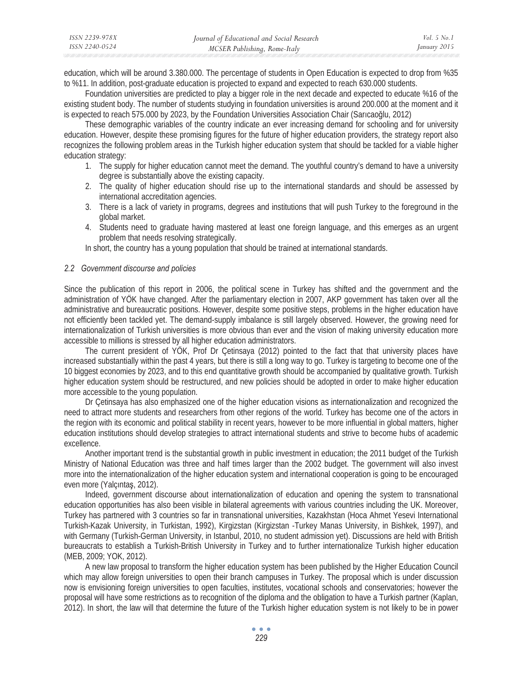| ISSN 2239-978X | Journal of Educational and Social Research | Vol. 5 No. 1 |
|----------------|--------------------------------------------|--------------|
| ISSN 2240-0524 | MCSER Publishing, Rome-Italy               | January 2015 |

education, which will be around 3.380.000. The percentage of students in Open Education is expected to drop from %35 to %11. In addition, post-graduate education is projected to expand and expected to reach 630.000 students.

Foundation universities are predicted to play a bigger role in the next decade and expected to educate %16 of the existing student body. The number of students studying in foundation universities is around 200.000 at the moment and it is expected to reach 575.000 by 2023, by the Foundation Universities Association Chair (Sarıcaoğlu, 2012)

These demographic variables of the country indicate an ever increasing demand for schooling and for university education. However, despite these promising figures for the future of higher education providers, the strategy report also recognizes the following problem areas in the Turkish higher education system that should be tackled for a viable higher education strategy:

- 1. The supply for higher education cannot meet the demand. The youthful country's demand to have a university degree is substantially above the existing capacity.
- 2. The quality of higher education should rise up to the international standards and should be assessed by international accreditation agencies.
- 3. There is a lack of variety in programs, degrees and institutions that will push Turkey to the foreground in the global market.
- 4. Students need to graduate having mastered at least one foreign language, and this emerges as an urgent problem that needs resolving strategically.

In short, the country has a young population that should be trained at international standards.

#### *2.2 Government discourse and policies*

Since the publication of this report in 2006, the political scene in Turkey has shifted and the government and the administration of YÖK have changed. After the parliamentary election in 2007, AKP government has taken over all the administrative and bureaucratic positions. However, despite some positive steps, problems in the higher education have not efficiently been tackled yet. The demand-supply imbalance is still largely observed. However, the growing need for internationalization of Turkish universities is more obvious than ever and the vision of making university education more accessible to millions is stressed by all higher education administrators.

The current president of YÖK, Prof Dr Çetinsaya (2012) pointed to the fact that that university places have increased substantially within the past 4 years, but there is still a long way to go. Turkey is targeting to become one of the 10 biggest economies by 2023, and to this end quantitative growth should be accompanied by qualitative growth. Turkish higher education system should be restructured, and new policies should be adopted in order to make higher education more accessible to the young population.

Dr Çetinsaya has also emphasized one of the higher education visions as internationalization and recognized the need to attract more students and researchers from other regions of the world. Turkey has become one of the actors in the region with its economic and political stability in recent years, however to be more influential in global matters, higher education institutions should develop strategies to attract international students and strive to become hubs of academic excellence.

Another important trend is the substantial growth in public investment in education; the 2011 budget of the Turkish Ministry of National Education was three and half times larger than the 2002 budget. The government will also invest more into the internationalization of the higher education system and international cooperation is going to be encouraged even more (Yalcintas, 2012).

Indeed, government discourse about internationalization of education and opening the system to transnational education opportunities has also been visible in bilateral agreements with various countries including the UK. Moreover, Turkey has partnered with 3 countries so far in transnational universities, Kazakhstan (Hoca Ahmet Yesevi International Turkish-Kazak University, in Turkistan, 1992), Kirgizstan (Kirgizstan -Turkey Manas University, in Bishkek, 1997), and with Germany (Turkish-German University, in Istanbul, 2010, no student admission yet). Discussions are held with British bureaucrats to establish a Turkish-British University in Turkey and to further internationalize Turkish higher education (MEB, 2009; YOK, 2012).

A new law proposal to transform the higher education system has been published by the Higher Education Council which may allow foreign universities to open their branch campuses in Turkey. The proposal which is under discussion now is envisioning foreign universities to open faculties, institutes, vocational schools and conservatories; however the proposal will have some restrictions as to recognition of the diploma and the obligation to have a Turkish partner (Kaplan, 2012). In short, the law will that determine the future of the Turkish higher education system is not likely to be in power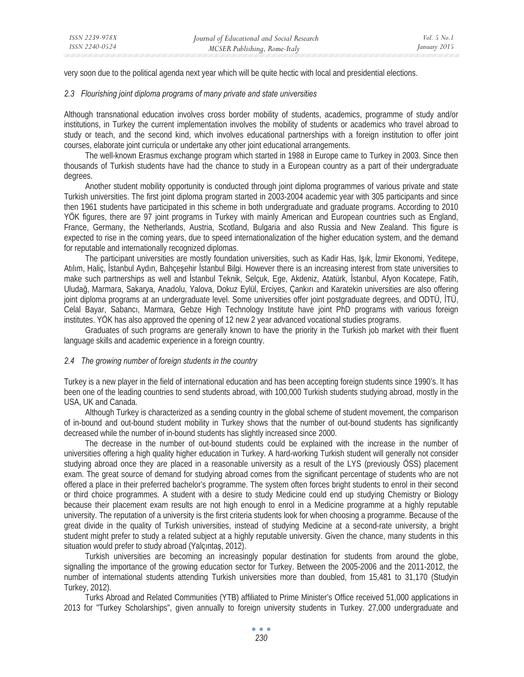very soon due to the political agenda next year which will be quite hectic with local and presidential elections.

# *2.3 Flourishing joint diploma programs of many private and state universities*

Although transnational education involves cross border mobility of students, academics, programme of study and/or institutions, in Turkey the current implementation involves the mobility of students or academics who travel abroad to study or teach, and the second kind, which involves educational partnerships with a foreign institution to offer joint courses, elaborate joint curricula or undertake any other joint educational arrangements.

The well-known Erasmus exchange program which started in 1988 in Europe came to Turkey in 2003. Since then thousands of Turkish students have had the chance to study in a European country as a part of their undergraduate degrees.

Another student mobility opportunity is conducted through joint diploma programmes of various private and state Turkish universities. The first joint diploma program started in 2003-2004 academic year with 305 participants and since then 1961 students have participated in this scheme in both undergraduate and graduate programs. According to 2010 YÖK figures, there are 97 joint programs in Turkey with mainly American and European countries such as England, France, Germany, the Netherlands, Austria, Scotland, Bulgaria and also Russia and New Zealand. This figure is expected to rise in the coming years, due to speed internationalization of the higher education system, and the demand for reputable and internationally recognized diplomas.

The participant universities are mostly foundation universities, such as Kadir Has, Işık, İzmir Ekonomi, Yeditepe, Atılım, Haliç, İstanbul Aydın, Bahçeşehir İstanbul Bilgi. However there is an increasing interest from state universities to make such partnerships as well and *stanbul Teknik, Selçuk, Ege, Akdeniz*, Atatürk, *stanbul*, Afyon Kocatepe, Fatih, Uludağ, Marmara, Sakarya, Anadolu, Yalova, Dokuz Eylül, Erciyes, Çankırı and Karatekin universities are also offering joint diploma programs at an undergraduate level. Some universities offer joint postgraduate degrees, and ODTÜ, ITÜ, Celal Bayar, Sabancı, Marmara, Gebze High Technology Institute have joint PhD programs with various foreign institutes. YÖK has also approved the opening of 12 new 2 year advanced vocational studies programs.

Graduates of such programs are generally known to have the priority in the Turkish job market with their fluent language skills and academic experience in a foreign country.

#### *2.4 The growing number of foreign students in the country*

Turkey is a new player in the field of international education and has been accepting foreign students since 1990's. It has been one of the leading countries to send students abroad, with 100,000 Turkish students studying abroad, mostly in the USA, UK and Canada.

Although Turkey is characterized as a sending country in the global scheme of student movement, the comparison of in-bound and out-bound student mobility in Turkey shows that the number of out-bound students has significantly decreased while the number of in-bound students has slightly increased since 2000.

The decrease in the number of out-bound students could be explained with the increase in the number of universities offering a high quality higher education in Turkey. A hard-working Turkish student will generally not consider studying abroad once they are placed in a reasonable university as a result of the LYS (previously ÖSS) placement exam. The great source of demand for studying abroad comes from the significant percentage of students who are not offered a place in their preferred bachelor's programme. The system often forces bright students to enrol in their second or third choice programmes. A student with a desire to study Medicine could end up studying Chemistry or Biology because their placement exam results are not high enough to enrol in a Medicine programme at a highly reputable university. The reputation of a university is the first criteria students look for when choosing a programme. Because of the great divide in the quality of Turkish universities, instead of studying Medicine at a second-rate university, a bright student might prefer to study a related subject at a highly reputable university. Given the chance, many students in this situation would prefer to study abroad (Yalçıntaş, 2012).

Turkish universities are becoming an increasingly popular destination for students from around the globe, signalling the importance of the growing education sector for Turkey. Between the 2005-2006 and the 2011-2012, the number of international students attending Turkish universities more than doubled, from 15,481 to 31,170 (Studyin Turkey, 2012).

Turks Abroad and Related Communities (YTB) affiliated to Prime Minister's Office received 51,000 applications in 2013 for "Turkey Scholarships", given annually to foreign university students in Turkey. 27,000 undergraduate and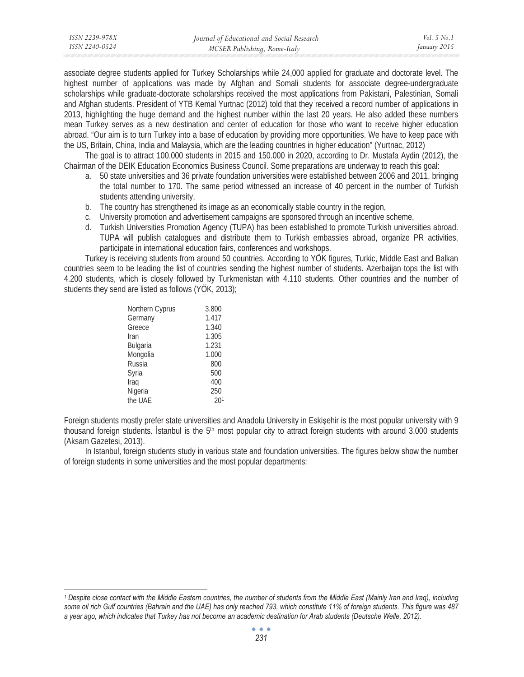| ISSN 2239-978X | Journal of Educational and Social Research | <i>Vol.</i> 5 $No.1$ |
|----------------|--------------------------------------------|----------------------|
| ISSN 2240-0524 | MCSER Publishing, Rome-Italy               | January 2015         |

associate degree students applied for Turkey Scholarships while 24,000 applied for graduate and doctorate level. The highest number of applications was made by Afghan and Somali students for associate degree-undergraduate scholarships while graduate-doctorate scholarships received the most applications from Pakistani, Palestinian, Somali and Afghan students. President of YTB Kemal Yurtnac (2012) told that they received a record number of applications in 2013, highlighting the huge demand and the highest number within the last 20 years. He also added these numbers mean Turkey serves as a new destination and center of education for those who want to receive higher education abroad. "Our aim is to turn Turkey into a base of education by providing more opportunities. We have to keep pace with the US, Britain, China, India and Malaysia, which are the leading countries in higher education" (Yurtnac, 2012)

The goal is to attract 100.000 students in 2015 and 150.000 in 2020, according to Dr. Mustafa Aydin (2012), the Chairman of the DEIK Education Economics Business Council. Some preparations are underway to reach this goal:

- a. 50 state universities and 36 private foundation universities were established between 2006 and 2011, bringing the total number to 170. The same period witnessed an increase of 40 percent in the number of Turkish students attending university,
- b. The country has strengthened its image as an economically stable country in the region,
- c. University promotion and advertisement campaigns are sponsored through an incentive scheme,
- d. Turkish Universities Promotion Agency (TUPA) has been established to promote Turkish universities abroad. TUPA will publish catalogues and distribute them to Turkish embassies abroad, organize PR activities, participate in international education fairs, conferences and workshops.

Turkey is receiving students from around 50 countries. According to YÖK figures, Turkic, Middle East and Balkan countries seem to be leading the list of countries sending the highest number of students. Azerbaijan tops the list with 4.200 students, which is closely followed by Turkmenistan with 4.110 students. Other countries and the number of students they send are listed as follows (YÖK, 2013);

| Northern Cyprus | 3.800 |
|-----------------|-------|
| Germany         | 1.417 |
| Greece          | 1.340 |
| Iran            | 1.305 |
| Bulgaria        | 1.231 |
| Mongolia        | 1.000 |
| Russia          | 800   |
| Syria           | 500   |
| Iraq            | 400   |
| Nigeria         | 250   |
| the UAE         | 201   |

Foreign students mostly prefer state universities and Anadolu University in Eskisehir is the most popular university with 9 thousand foreign students. Istanbul is the  $5<sup>th</sup>$  most popular city to attract foreign students with around 3.000 students (Aksam Gazetesi, 2013).

In Istanbul, foreign students study in various state and foundation universities. The figures below show the number of foreign students in some universities and the most popular departments:

<sup>&</sup>lt;sup>1</sup> Despite close contact with the Middle Eastern countries, the number of students from the Middle East (Mainly Iran and Iraq), including *some oil rich Gulf countries (Bahrain and the UAE) has only reached 793, which constitute 11% of foreign students. This figure was 487 a year ago, which indicates that Turkey has not become an academic destination for Arab students (Deutsche Welle, 2012).*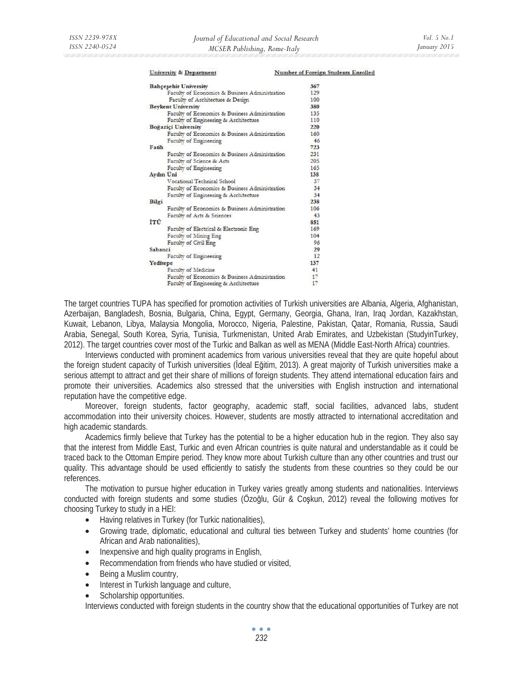#### **University & Department Number of Foreign Students Enrolled**

| <b>Bahçeşehir University</b>                   | 367 |
|------------------------------------------------|-----|
| Faculty of Economics & Business Administration | 129 |
| Faculty of Architecture & Design               | 100 |
| <b>Beykent University</b>                      | 380 |
| Faculty of Economics & Business Administration | 135 |
| Faculty of Engineering & Architecture          | 110 |
| Boğaziçi University                            | 220 |
| Faculty of Economics & Business Administration | 160 |
| Faculty of Engineering                         | 46  |
| Fatih                                          | 723 |
| Faculty of Economics & Business Administration | 231 |
| Faculty of Science & Arts                      | 205 |
| Faculty of Engineering                         | 165 |
| <b>Aydın Uni</b>                               | 138 |
| Vocational Technical School                    | 37  |
| Faculty of Economics & Business Administration | 34  |
| Faculty of Engineering & Architecture          | 34  |
| Bilgi                                          | 238 |
| Faculty of Economics & Business Administration | 106 |
| Faculty of Arts & Sciences                     | 43  |
| İTÜ                                            | 851 |
| Faculty of Electrical & Electronic Eng-        | 169 |
| Faculty of Mining Eng                          | 104 |
| Faculty of Civil Eng                           | 96  |
| Sabanci                                        | 29  |
| Faculty of Engineering                         | 12  |
| Yeditepe                                       | 137 |
| Faculty of Medicine                            | 41  |
| Faculty of Economics & Business Administration | 17  |
| Faculty of Engineering & Architecture          | 17  |

The target countries TUPA has specified for promotion activities of Turkish universities are Albania, Algeria, Afghanistan, Azerbaijan, Bangladesh, Bosnia, Bulgaria, China, Egypt, Germany, Georgia, Ghana, Iran, Iraq Jordan, Kazakhstan, Kuwait, Lebanon, Libya, Malaysia Mongolia, Morocco, Nigeria, Palestine, Pakistan, Qatar, Romania, Russia, Saudi Arabia, Senegal, South Korea, Syria, Tunisia, Turkmenistan, United Arab Emirates, and Uzbekistan (StudyinTurkey, 2012). The target countries cover most of the Turkic and Balkan as well as MENA (Middle East-North Africa) countries.

Interviews conducted with prominent academics from various universities reveal that they are quite hopeful about the foreign student capacity of Turkish universities (Ideal Eğitim, 2013). A great majority of Turkish universities make a serious attempt to attract and get their share of millions of foreign students. They attend international education fairs and promote their universities. Academics also stressed that the universities with English instruction and international reputation have the competitive edge.

Moreover, foreign students, factor geography, academic staff, social facilities, advanced labs, student accommodation into their university choices. However, students are mostly attracted to international accreditation and high academic standards.

Academics firmly believe that Turkey has the potential to be a higher education hub in the region. They also say that the interest from Middle East, Turkic and even African countries is quite natural and understandable as it could be traced back to the Ottoman Empire period. They know more about Turkish culture than any other countries and trust our quality. This advantage should be used efficiently to satisfy the students from these countries so they could be our references.

The motivation to pursue higher education in Turkey varies greatly among students and nationalities. Interviews conducted with foreign students and some studies (Özoğlu, Gür & Coskun, 2012) reveal the following motives for choosing Turkey to study in a HEI:

- Having relatives in Turkey (for Turkic nationalities),
- Growing trade, diplomatic, educational and cultural ties between Turkey and students' home countries (for African and Arab nationalities),
- Inexpensive and high quality programs in English,<br>• Recommendation from friends who have studied of
- Recommendation from friends who have studied or visited,
- Being a Muslim country,
- Interest in Turkish language and culture,
- Scholarship opportunities.

Interviews conducted with foreign students in the country show that the educational opportunities of Turkey are not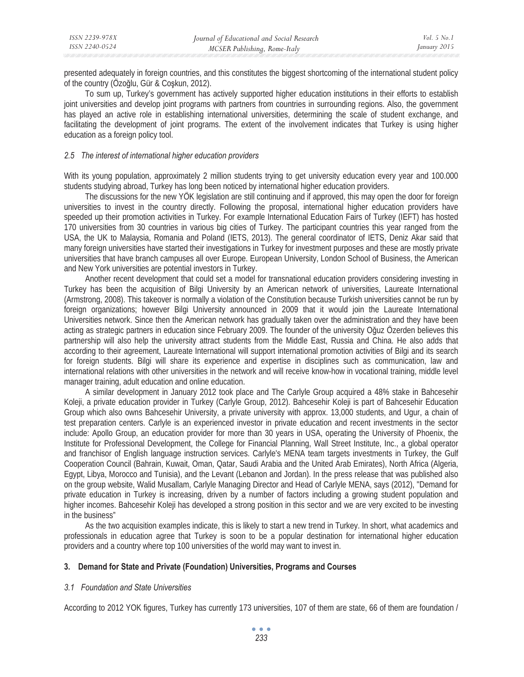presented adequately in foreign countries, and this constitutes the biggest shortcoming of the international student policy of the country (Özoğlu, Gür & Coşkun, 2012).

To sum up, Turkey's government has actively supported higher education institutions in their efforts to establish joint universities and develop joint programs with partners from countries in surrounding regions. Also, the government has played an active role in establishing international universities, determining the scale of student exchange, and facilitating the development of joint programs. The extent of the involvement indicates that Turkey is using higher education as a foreign policy tool.

# *2.5 The interest of international higher education providers*

With its young population, approximately 2 million students trying to get university education every year and 100.000 students studying abroad, Turkey has long been noticed by international higher education providers.

The discussions for the new YÖK legislation are still continuing and if approved, this may open the door for foreign universities to invest in the country directly. Following the proposal, international higher education providers have speeded up their promotion activities in Turkey. For example International Education Fairs of Turkey (IEFT) has hosted 170 universities from 30 countries in various big cities of Turkey. The participant countries this year ranged from the USA, the UK to Malaysia, Romania and Poland (IETS, 2013). The general coordinator of IETS, Deniz Akar said that many foreign universities have started their investigations in Turkey for investment purposes and these are mostly private universities that have branch campuses all over Europe. European University, London School of Business, the American and New York universities are potential investors in Turkey.

Another recent development that could set a model for transnational education providers considering investing in Turkey has been the acquisition of Bilgi University by an American network of universities, Laureate International (Armstrong, 2008). This takeover is normally a violation of the Constitution because Turkish universities cannot be run by foreign organizations; however Bilgi University announced in 2009 that it would join the Laureate International Universities network. Since then the American network has gradually taken over the administration and they have been acting as strategic partners in education since February 2009. The founder of the university Oğuz Özerden believes this partnership will also help the university attract students from the Middle East, Russia and China. He also adds that according to their agreement, Laureate International will support international promotion activities of Bilgi and its search for foreign students. Bilgi will share its experience and expertise in disciplines such as communication, law and international relations with other universities in the network and will receive know-how in vocational training, middle level manager training, adult education and online education.

A similar development in January 2012 took place and The Carlyle Group acquired a 48% stake in Bahcesehir Koleji, a private education provider in Turkey (Carlyle Group, 2012). Bahcesehir Koleji is part of Bahcesehir Education Group which also owns Bahcesehir University, a private university with approx. 13,000 students, and Ugur, a chain of test preparation centers. Carlyle is an experienced investor in private education and recent investments in the sector include: Apollo Group, an education provider for more than 30 years in USA, operating the University of Phoenix, the Institute for Professional Development, the College for Financial Planning, Wall Street Institute, Inc., a global operator and franchisor of English language instruction services. Carlyle's MENA team targets investments in Turkey, the Gulf Cooperation Council (Bahrain, Kuwait, Oman, Qatar, Saudi Arabia and the United Arab Emirates), North Africa (Algeria, Egypt, Libya, Morocco and Tunisia), and the Levant (Lebanon and Jordan). In the press release that was published also on the group website, Walid Musallam, Carlyle Managing Director and Head of Carlyle MENA, says (2012), "Demand for private education in Turkey is increasing, driven by a number of factors including a growing student population and higher incomes. Bahcesehir Koleji has developed a strong position in this sector and we are very excited to be investing in the business"

As the two acquisition examples indicate, this is likely to start a new trend in Turkey. In short, what academics and professionals in education agree that Turkey is soon to be a popular destination for international higher education providers and a country where top 100 universities of the world may want to invest in.

#### **3. Demand for State and Private (Foundation) Universities, Programs and Courses**

# *3.1 Foundation and State Universities*

According to 2012 YOK figures, Turkey has currently 173 universities, 107 of them are state, 66 of them are foundation /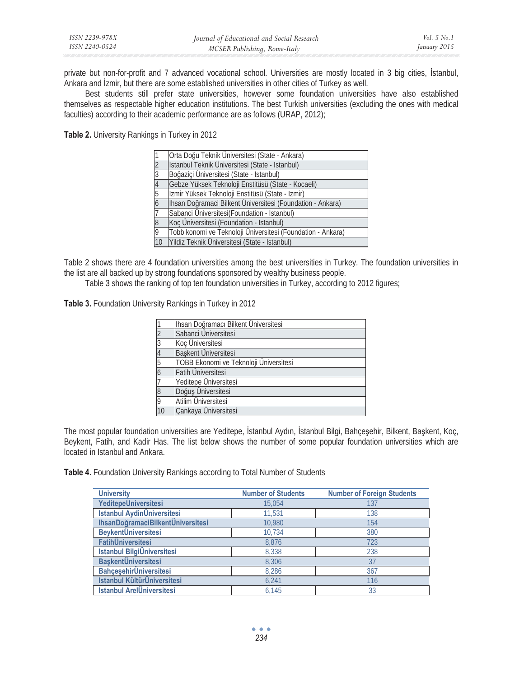private but non-for-profit and 7 advanced vocational school. Universities are mostly located in 3 big cities, Istanbul, Ankara and Izmir, but there are some established universities in other cities of Turkey as well.

Best students still prefer state universities, however some foundation universities have also established themselves as respectable higher education institutions. The best Turkish universities (excluding the ones with medical faculties) according to their academic performance are as follows (URAP, 2012);

**Table 2.** University Rankings in Turkey in 2012

|                | Orta Doğu Teknik Üniversitesi (State - Ankara)              |
|----------------|-------------------------------------------------------------|
|                | Istanbul Teknik Üniversitesi (State - Istanbul)             |
| 3              | Boğazici Üniversitesi (State - Istanbul)                    |
| $\overline{4}$ | Gebze Yüksek Teknoloji Enstitüsü (State - Kocaeli)          |
| 5              | Izmir Yüksek Teknoloji Enstitüsü (State - Izmir)            |
| $\overline{6}$ | Ihsan Doğramaci Bilkent Üniversitesi (Foundation - Ankara)  |
|                | Sabanci Üniversitesi (Foundation - Istanbul)                |
| $\overline{8}$ | Koç Üniversitesi (Foundation - Istanbul)                    |
| 9              | Tobb konomi ve Teknoloji Üniversitesi (Foundation - Ankara) |
| 10             | Yildiz Teknik Üniversitesi (State - Istanbul)               |

Table 2 shows there are 4 foundation universities among the best universities in Turkey. The foundation universities in the list are all backed up by strong foundations sponsored by wealthy business people.

Table 3 shows the ranking of top ten foundation universities in Turkey, according to 2012 figures;

**Table 3.** Foundation University Rankings in Turkey in 2012

|                | Ihsan Doğramacı Bilkent Üniversitesi   |
|----------------|----------------------------------------|
|                | Sabanci Üniversitesi                   |
| $\frac{2}{3}$  | Koç Üniversitesi                       |
| 4              | Başkent Üniversitesi                   |
| $\overline{5}$ | TOBB Ekonomi ve Teknoloji Üniversitesi |
| 6              | Fatih Üniversitesi                     |
| 7              | Yeditepe Üniversitesi                  |
| 8              | Doğuş Üniversitesi                     |
| $\overline{9}$ | <b>Atilim Universitesi</b>             |
| 10             | Cankaya Üniversitesi                   |

The most popular foundation universities are Yeditepe, İstanbul Aydın, İstanbul Bilgi, Bahçeşehir, Bilkent, Başkent, Koç, Beykent, Fatih, and Kadir Has. The list below shows the number of some popular foundation universities which are located in Istanbul and Ankara.

Table 4. Foundation University Rankings according to Total Number of Students

| <b>University</b>                 | <b>Number of Students</b> | <b>Number of Foreign Students</b> |
|-----------------------------------|---------------------------|-----------------------------------|
| YeditepeÜniversitesi              | 15,054                    | 137                               |
| <b>Istanbul AydinÜniversitesi</b> | 11,531                    | 138                               |
| IhsanDoğramaciBilkentÜniversitesi | 10,980                    | 154                               |
| <b>BeykentÜniversitesi</b>        | 10,734                    | 380                               |
| <b>FatihÜniversitesi</b>          | 8,876                     | 723                               |
| <b>Istanbul BilgiÜniversitesi</b> | 8,338                     | 238                               |
| <b>BaşkentÜniversitesi</b>        | 8,306                     | 37                                |
| <b>BahçeşehirÜniversitesi</b>     | 8,286                     | 367                               |
| Istanbul KültürÜniversitesi       | 6,241                     | 116                               |
| <b>Istanbul ArelÜniversitesi</b>  | 6.145                     | 33                                |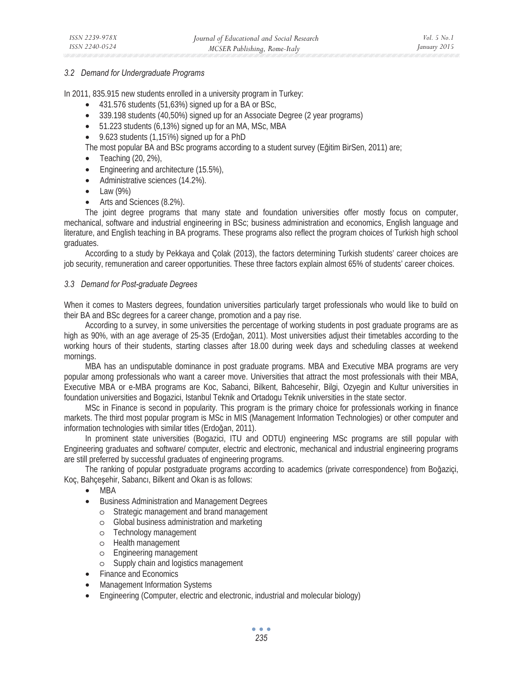# *3.2 Demand for Undergraduate Programs*

In 2011, 835.915 new students enrolled in a university program in Turkey:

- 431.576 students (51,63%) signed up for a BA or BSc,
- 339.198 students (40,50%) signed up for an Associate Degree (2 year programs)
- 51.223 students (6,13%) signed up for an MA, MSc, MBA
- 9.623 students (1,15'i%) signed up for a PhD

The most popular BA and BSc programs according to a student survey (Eğitim BirSen, 2011) are;

- Teaching  $(20, 2\%)$ ,
- Engineering and architecture (15.5%),
- Administrative sciences (14.2%).
- $\bullet$  Law (9%)
- Arts and Sciences (8.2%).

The joint degree programs that many state and foundation universities offer mostly focus on computer, mechanical, software and industrial engineering in BSc; business administration and economics, English language and literature, and English teaching in BA programs. These programs also reflect the program choices of Turkish high school graduates.

According to a study by Pekkaya and Çolak (2013), the factors determining Turkish students' career choices are job security, remuneration and career opportunities. These three factors explain almost 65% of students' career choices.

# *3.3 Demand for Post-graduate Degrees*

When it comes to Masters degrees, foundation universities particularly target professionals who would like to build on their BA and BSc degrees for a career change, promotion and a pay rise.

According to a survey, in some universities the percentage of working students in post graduate programs are as high as 90%, with an age average of 25-35 (Erdoğan, 2011). Most universities adjust their timetables according to the working hours of their students, starting classes after 18.00 during week days and scheduling classes at weekend mornings.

MBA has an undisputable dominance in post graduate programs. MBA and Executive MBA programs are very popular among professionals who want a career move. Universities that attract the most professionals with their MBA, Executive MBA or e-MBA programs are Koc, Sabanci, Bilkent, Bahcesehir, Bilgi, Ozyegin and Kultur universities in foundation universities and Bogazici, Istanbul Teknik and Ortadogu Teknik universities in the state sector.

MSc in Finance is second in popularity. This program is the primary choice for professionals working in finance markets. The third most popular program is MSc in MIS (Management Information Technologies) or other computer and information technologies with similar titles (Erdoğan, 2011).

In prominent state universities (Bogazici, ITU and ODTU) engineering MSc programs are still popular with Engineering graduates and software/ computer, electric and electronic, mechanical and industrial engineering programs are still preferred by successful graduates of engineering programs.

The ranking of popular postgraduate programs according to academics (private correspondence) from Boğaziçi, Koç, Bahçeşehir, Sabancı, Bilkent and Okan is as follows:

- MBA
- Business Administration and Management Degrees
	- o Strategic management and brand management
	- o Global business administration and marketing
	- o Technology management
	- o Health management
	- o Engineering management
	- o Supply chain and logistics management
- Finance and Economics
- Management Information Systems
- Engineering (Computer, electric and electronic, industrial and molecular biology)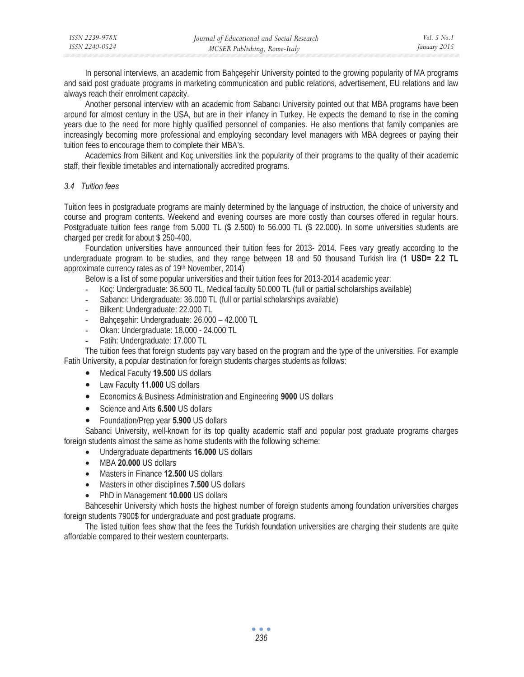| ISSN 2239-978X | Journal of Educational and Social Research | <i>Vol.</i> 5 $No.1$ |
|----------------|--------------------------------------------|----------------------|
| ISSN 2240-0524 | MCSER Publishing, Rome-Italy               | January 2015         |

In personal interviews, an academic from Bahçeşehir University pointed to the growing popularity of MA programs and said post graduate programs in marketing communication and public relations, advertisement, EU relations and law always reach their enrolment capacity.

Another personal interview with an academic from Sabanci University pointed out that MBA programs have been around for almost century in the USA, but are in their infancy in Turkey. He expects the demand to rise in the coming years due to the need for more highly qualified personnel of companies. He also mentions that family companies are increasingly becoming more professional and employing secondary level managers with MBA degrees or paying their tuition fees to encourage them to complete their MBA's.

Academics from Bilkent and Koç universities link the popularity of their programs to the quality of their academic staff, their flexible timetables and internationally accredited programs.

#### *3.4 Tuition fees*

Tuition fees in postgraduate programs are mainly determined by the language of instruction, the choice of university and course and program contents. Weekend and evening courses are more costly than courses offered in regular hours. Postgraduate tuition fees range from 5.000 TL (\$ 2.500) to 56.000 TL (\$ 22.000). In some universities students are charged per credit for about \$ 250-400.

Foundation universities have announced their tuition fees for 2013- 2014. Fees vary greatly according to the undergraduate program to be studies, and they range between 18 and 50 thousand Turkish lira (**1 USD= 2.2 TL** approximate currency rates as of 19th November, 2014)

Below is a list of some popular universities and their tuition fees for 2013-2014 academic year:

- Koç: Undergraduate: 36.500 TL, Medical faculty 50.000 TL (full or partial scholarships available)
- Sabancı: Undergraduate: 36.000 TL (full or partial scholarships available)
- Bilkent: Undergraduate: 22.000 TL
- Bahçeşehir: Undergraduate: 26.000 42.000 TL
- Okan: Undergraduate: 18.000 24.000 TL
- Fatih: Undergraduate: 17.000 TL

The tuition fees that foreign students pay vary based on the program and the type of the universities. For example Fatih University, a popular destination for foreign students charges students as follows:

- Medical Faculty **19.500** US dollars
- Law Faculty **11.000** US dollars
- Economics & Business Administration and Engineering **9000** US dollars
- Science and Arts **6.500** US dollars
- Foundation/Prep year **5.900** US dollars

Sabanci University, well-known for its top quality academic staff and popular post graduate programs charges foreign students almost the same as home students with the following scheme:

- Undergraduate departments **16.000** US dollars
- MBA **20.000** US dollars
- Masters in Finance **12.500** US dollars
- Masters in other disciplines **7.500** US dollars
- PhD in Management **10.000** US dollars

Bahcesehir University which hosts the highest number of foreign students among foundation universities charges foreign students 7900\$ for undergraduate and post graduate programs.

The listed tuition fees show that the fees the Turkish foundation universities are charging their students are quite affordable compared to their western counterparts.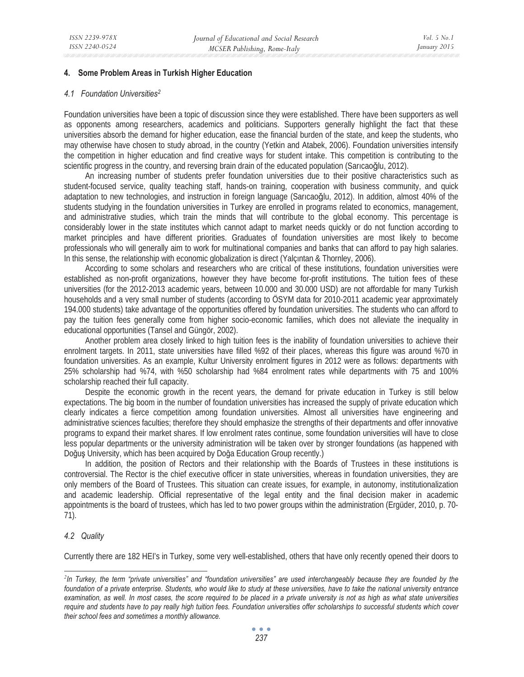# **4. Some Problem Areas in Turkish Higher Education**

#### *4.1 Foundation Universities2*

Foundation universities have been a topic of discussion since they were established. There have been supporters as well as opponents among researchers, academics and politicians. Supporters generally highlight the fact that these universities absorb the demand for higher education, ease the financial burden of the state, and keep the students, who may otherwise have chosen to study abroad, in the country (Yetkin and Atabek, 2006). Foundation universities intensify the competition in higher education and find creative ways for student intake. This competition is contributing to the scientific progress in the country, and reversing brain drain of the educated population (Sarıcaoğlu, 2012).

An increasing number of students prefer foundation universities due to their positive characteristics such as student-focused service, quality teaching staff, hands-on training, cooperation with business community, and quick adaptation to new technologies, and instruction in foreign language (Sarıcaoğlu, 2012). In addition, almost 40% of the students studying in the foundation universities in Turkey are enrolled in programs related to economics, management, and administrative studies, which train the minds that will contribute to the global economy. This percentage is considerably lower in the state institutes which cannot adapt to market needs quickly or do not function according to market principles and have different priorities. Graduates of foundation universities are most likely to become professionals who will generally aim to work for multinational companies and banks that can afford to pay high salaries. In this sense, the relationship with economic globalization is direct (Yalçıntan & Thornley, 2006).

According to some scholars and researchers who are critical of these institutions, foundation universities were established as non-profit organizations, however they have become for-profit institutions. The tuition fees of these universities (for the 2012-2013 academic years, between 10.000 and 30.000 USD) are not affordable for many Turkish households and a very small number of students (according to ÖSYM data for 2010-2011 academic year approximately 194.000 students) take advantage of the opportunities offered by foundation universities. The students who can afford to pay the tuition fees generally come from higher socio-economic families, which does not alleviate the inequality in educational opportunities (Tansel and Güngör, 2002).

Another problem area closely linked to high tuition fees is the inability of foundation universities to achieve their enrolment targets. In 2011, state universities have filled %92 of their places, whereas this figure was around %70 in foundation universities. As an example, Kultur University enrolment figures in 2012 were as follows: departments with 25% scholarship had %74, with %50 scholarship had %84 enrolment rates while departments with 75 and 100% scholarship reached their full capacity.

Despite the economic growth in the recent years, the demand for private education in Turkey is still below expectations. The big boom in the number of foundation universities has increased the supply of private education which clearly indicates a fierce competition among foundation universities. Almost all universities have engineering and administrative sciences faculties; therefore they should emphasize the strengths of their departments and offer innovative programs to expand their market shares. If low enrolment rates continue, some foundation universities will have to close less popular departments or the university administration will be taken over by stronger foundations (as happened with Doğus University, which has been acquired by Doğa Education Group recently.)

In addition, the position of Rectors and their relationship with the Boards of Trustees in these institutions is controversial. The Rector is the chief executive officer in state universities, whereas in foundation universities, they are only members of the Board of Trustees. This situation can create issues, for example, in autonomy, institutionalization and academic leadership. Official representative of the legal entity and the final decision maker in academic appointments is the board of trustees, which has led to two power groups within the administration (Ergüder, 2010, p. 70- 71).

# *4.2 Quality*

Currently there are 182 HEI's in Turkey, some very well-established, others that have only recently opened their doors to

*<sup>2</sup> In Turkey, the term "private universities" and "foundation universities" are used interchangeably because they are founded by the foundation of a private enterprise. Students, who would like to study at these universities, have to take the national university entrance examination, as well. In most cases, the score required to be placed in a private university is not as high as what state universities require and students have to pay really high tuition fees. Foundation universities offer scholarships to successful students which cover their school fees and sometimes a monthly allowance.*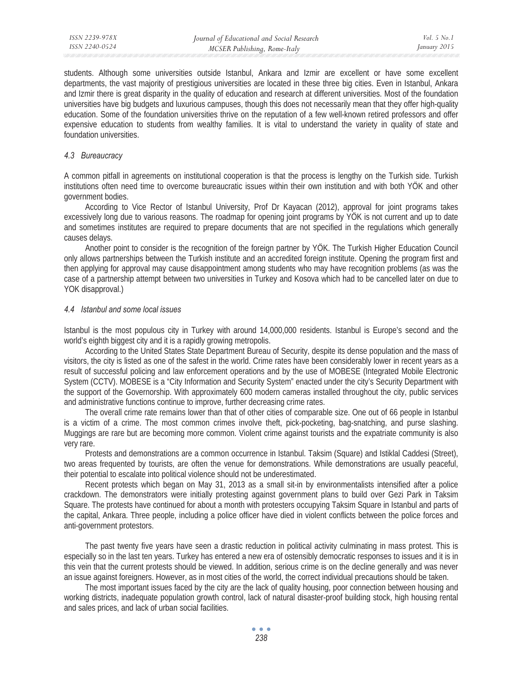students. Although some universities outside Istanbul, Ankara and Izmir are excellent or have some excellent departments, the vast majority of prestigious universities are located in these three big cities. Even in Istanbul, Ankara and Izmir there is great disparity in the quality of education and research at different universities. Most of the foundation universities have big budgets and luxurious campuses, though this does not necessarily mean that they offer high-quality education. Some of the foundation universities thrive on the reputation of a few well-known retired professors and offer expensive education to students from wealthy families. It is vital to understand the variety in quality of state and foundation universities.

#### *4.3 Bureaucracy*

A common pitfall in agreements on institutional cooperation is that the process is lengthy on the Turkish side. Turkish institutions often need time to overcome bureaucratic issues within their own institution and with both YÖK and other government bodies.

According to Vice Rector of Istanbul University, Prof Dr Kayacan (2012), approval for joint programs takes excessively long due to various reasons. The roadmap for opening joint programs by YÖK is not current and up to date and sometimes institutes are required to prepare documents that are not specified in the regulations which generally causes delays.

Another point to consider is the recognition of the foreign partner by YÖK. The Turkish Higher Education Council only allows partnerships between the Turkish institute and an accredited foreign institute. Opening the program first and then applying for approval may cause disappointment among students who may have recognition problems (as was the case of a partnership attempt between two universities in Turkey and Kosova which had to be cancelled later on due to YOK disapproval.)

# *4.4 Istanbul and some local issues*

Istanbul is the most populous city in Turkey with around 14,000,000 residents. Istanbul is Europe's second and the world's eighth biggest city and it is a rapidly growing metropolis.

According to the United States State Department Bureau of Security, despite its dense population and the mass of visitors, the city is listed as one of the safest in the world. Crime rates have been considerably lower in recent years as a result of successful policing and law enforcement operations and by the use of MOBESE (Integrated Mobile Electronic System (CCTV). MOBESE is a "City Information and Security System" enacted under the city's Security Department with the support of the Governorship. With approximately 600 modern cameras installed throughout the city, public services and administrative functions continue to improve, further decreasing crime rates.

The overall crime rate remains lower than that of other cities of comparable size. One out of 66 people in Istanbul is a victim of a crime. The most common crimes involve theft, pick-pocketing, bag-snatching, and purse slashing. Muggings are rare but are becoming more common. Violent crime against tourists and the expatriate community is also very rare.

Protests and demonstrations are a common occurrence in Istanbul. Taksim (Square) and Istiklal Caddesi (Street), two areas frequented by tourists, are often the venue for demonstrations. While demonstrations are usually peaceful, their potential to escalate into political violence should not be underestimated.

Recent protests which began on May 31, 2013 as a small sit-in by environmentalists intensified after a police crackdown. The demonstrators were initially protesting against government plans to build over Gezi Park in Taksim Square. The protests have continued for about a month with protesters occupying Taksim Square in Istanbul and parts of the capital, Ankara. Three people, including a police officer have died in violent conflicts between the police forces and anti-government protestors.

The past twenty five years have seen a drastic reduction in political activity culminating in mass protest. This is especially so in the last ten years. Turkey has entered a new era of ostensibly democratic responses to issues and it is in this vein that the current protests should be viewed. In addition, serious crime is on the decline generally and was never an issue against foreigners. However, as in most cities of the world, the correct individual precautions should be taken.

The most important issues faced by the city are the lack of quality housing, poor connection between housing and working districts, inadequate population growth control, lack of natural disaster-proof building stock, high housing rental and sales prices, and lack of urban social facilities.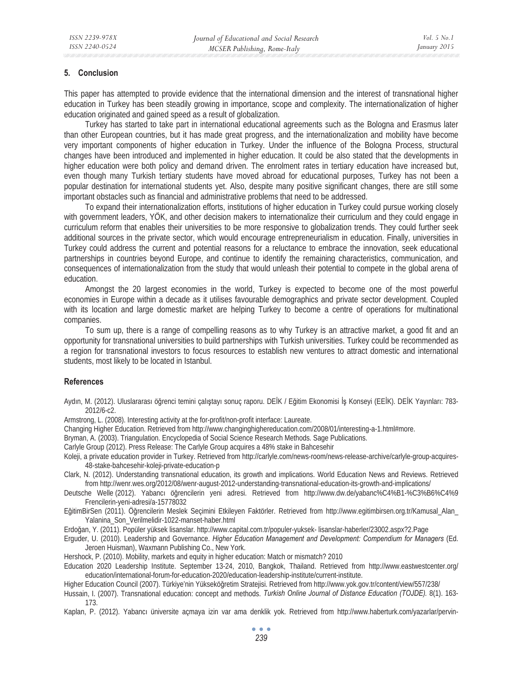# **5. Conclusion**

This paper has attempted to provide evidence that the international dimension and the interest of transnational higher education in Turkey has been steadily growing in importance, scope and complexity. The internationalization of higher education originated and gained speed as a result of globalization.

Turkey has started to take part in international educational agreements such as the Bologna and Erasmus later than other European countries, but it has made great progress, and the internationalization and mobility have become very important components of higher education in Turkey. Under the influence of the Bologna Process, structural changes have been introduced and implemented in higher education. It could be also stated that the developments in higher education were both policy and demand driven. The enrolment rates in tertiary education have increased but, even though many Turkish tertiary students have moved abroad for educational purposes, Turkey has not been a popular destination for international students yet. Also, despite many positive significant changes, there are still some important obstacles such as financial and administrative problems that need to be addressed.

To expand their internationalization efforts, institutions of higher education in Turkey could pursue working closely with government leaders, YÖK, and other decision makers to internationalize their curriculum and they could engage in curriculum reform that enables their universities to be more responsive to globalization trends. They could further seek additional sources in the private sector, which would encourage entrepreneurialism in education. Finally, universities in Turkey could address the current and potential reasons for a reluctance to embrace the innovation, seek educational partnerships in countries beyond Europe, and continue to identify the remaining characteristics, communication, and consequences of internationalization from the study that would unleash their potential to compete in the global arena of education.

Amongst the 20 largest economies in the world, Turkey is expected to become one of the most powerful economies in Europe within a decade as it utilises favourable demographics and private sector development. Coupled with its location and large domestic market are helping Turkey to become a centre of operations for multinational companies.

To sum up, there is a range of compelling reasons as to why Turkey is an attractive market, a good fit and an opportunity for transnational universities to build partnerships with Turkish universities. Turkey could be recommended as a region for transnational investors to focus resources to establish new ventures to attract domestic and international students, most likely to be located in Istanbul.

#### **References**

Aydın, M. (2012). Uluslararası öğrenci temini çalıştayı sonuç raporu. DEİK / Eğitim Ekonomisi İş Konseyi (EEİK). DEİK Yayınları: 783-2012/6-c2.

Armstrong, L. (2008). Interesting activity at the for-profit/non-profit interface: Laureate.

Changing Higher Education. Retrieved from http://www.changinghighereducation.com/2008/01/interesting-a-1.html#more.

Bryman, A. (2003). Triangulation. Encyclopedia of Social Science Research Methods. Sage Publications.

Carlyle Group (2012). Press Release: The Carlyle Group acquires a 48% stake in Bahcesehir

Koleji, a private education provider in Turkey. Retrieved from http://carlyle.com/news-room/news-release-archive/carlyle-group-acquires-48-stake-bahcesehir-koleji-private-education-p

Clark, N. (2012). Understanding transnational education, its growth and implications. World Education News and Reviews. Retrieved from http://wenr.wes.org/2012/08/wenr-august-2012-understanding-transnational-education-its-growth-and-implications/

Deutsche Welle (2012). Yabancı öğrencilerin yeni adresi. Retrieved from http://www.dw.de/yabanc%C4%B1-%C3%B6%C4%9 Frencilerin-yeni-adresi/a-15778032

EğitimBirSen (2011). Öğrencilerin Meslek Seçimini Etkileyen Faktörler. Retrieved from http://www.egitimbirsen.org.tr/Kamusal\_Alan\_ Yalanina\_Son\_Verilmelidir-1022-manset-haber.html

Erdo÷an, Y. (2011). Popüler yüksek lisanslar. http://www.capital.com.tr/populer-yuksek- lisanslar-haberler/23002.aspx?2.Page

Erguder, U. (2010). Leadership and Governance. *Higher Education Management and Development: Compendium for Managers* (Ed. Jeroen Huisman), Waxmann Publishing Co., New York.

Hershock, P. (2010). Mobility, markets and equity in higher education: Match or mismatch? 2010

Education 2020 Leadership Institute. September 13-24, 2010, Bangkok, Thailand. Retrieved from http://www.eastwestcenter.org/ education/international-forum-for-education-2020/education-leadership-institute/current-institute.

Higher Education Council (2007). Türkiye'nin Yükseköğretim Stratejisi. Retrieved from http://www.yok.gov.tr/content/view/557/238/

Hussain, I. (2007). Transnational education: concept and methods. *Turkish Online Journal of Distance Education (TOJDE).* 8(1). 163- 173.

Kaplan, P. (2012). Yabancı üniversite açmaya izin var ama denklik yok. Retrieved from http://www.haberturk.com/yazarlar/pervin-